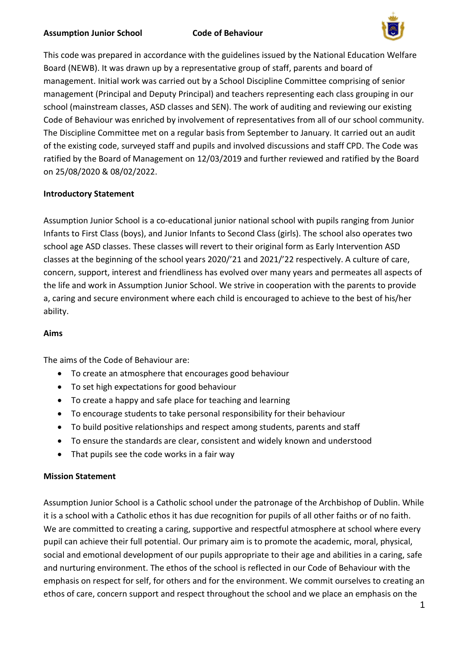

This code was prepared in accordance with the guidelines issued by the National Education Welfare Board (NEWB). It was drawn up by a representative group of staff, parents and board of management. Initial work was carried out by a School Discipline Committee comprising of senior management (Principal and Deputy Principal) and teachers representing each class grouping in our school (mainstream classes, ASD classes and SEN). The work of auditing and reviewing our existing Code of Behaviour was enriched by involvement of representatives from all of our school community. The Discipline Committee met on a regular basis from September to January. It carried out an audit of the existing code, surveyed staff and pupils and involved discussions and staff CPD. The Code was ratified by the Board of Management on 12/03/2019 and further reviewed and ratified by the Board on 25/08/2020 & 08/02/2022.

# **Introductory Statement**

Assumption Junior School is a co-educational junior national school with pupils ranging from Junior Infants to First Class (boys), and Junior Infants to Second Class (girls). The school also operates two school age ASD classes. These classes will revert to their original form as Early Intervention ASD classes at the beginning of the school years 2020/'21 and 2021/'22 respectively. A culture of care, concern, support, interest and friendliness has evolved over many years and permeates all aspects of the life and work in Assumption Junior School. We strive in cooperation with the parents to provide a, caring and secure environment where each child is encouraged to achieve to the best of his/her ability.

#### **Aims**

The aims of the Code of Behaviour are:

- To create an atmosphere that encourages good behaviour
- To set high expectations for good behaviour
- To create a happy and safe place for teaching and learning
- To encourage students to take personal responsibility for their behaviour
- To build positive relationships and respect among students, parents and staff
- To ensure the standards are clear, consistent and widely known and understood
- That pupils see the code works in a fair way

# **Mission Statement**

Assumption Junior School is a Catholic school under the patronage of the Archbishop of Dublin. While it is a school with a Catholic ethos it has due recognition for pupils of all other faiths or of no faith. We are committed to creating a caring, supportive and respectful atmosphere at school where every pupil can achieve their full potential. Our primary aim is to promote the academic, moral, physical, social and emotional development of our pupils appropriate to their age and abilities in a caring, safe and nurturing environment. The ethos of the school is reflected in our Code of Behaviour with the emphasis on respect for self, for others and for the environment. We commit ourselves to creating an ethos of care, concern support and respect throughout the school and we place an emphasis on the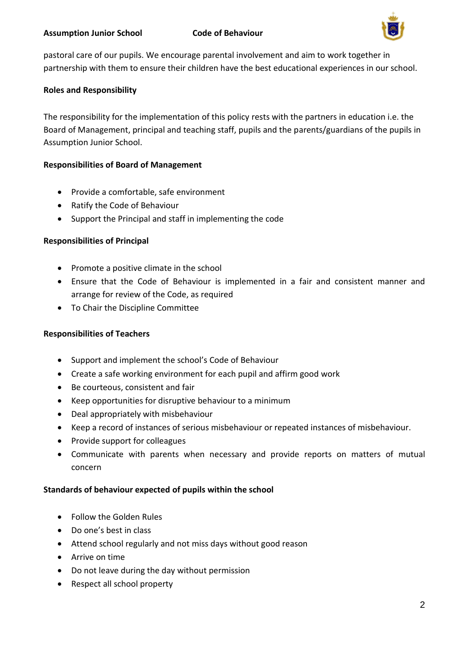

pastoral care of our pupils. We encourage parental involvement and aim to work together in partnership with them to ensure their children have the best educational experiences in our school.

## **Roles and Responsibility**

The responsibility for the implementation of this policy rests with the partners in education i.e. the Board of Management, principal and teaching staff, pupils and the parents/guardians of the pupils in Assumption Junior School.

### **Responsibilities of Board of Management**

- Provide a comfortable, safe environment
- Ratify the Code of Behaviour
- Support the Principal and staff in implementing the code

# **Responsibilities of Principal**

- Promote a positive climate in the school
- Ensure that the Code of Behaviour is implemented in a fair and consistent manner and arrange for review of the Code, as required
- To Chair the Discipline Committee

# **Responsibilities of Teachers**

- Support and implement the school's Code of Behaviour
- Create a safe working environment for each pupil and affirm good work
- Be courteous, consistent and fair
- Keep opportunities for disruptive behaviour to a minimum
- Deal appropriately with misbehaviour
- Keep a record of instances of serious misbehaviour or repeated instances of misbehaviour.
- Provide support for colleagues
- Communicate with parents when necessary and provide reports on matters of mutual concern

#### **Standards of behaviour expected of pupils within the school**

- Follow the Golden Rules
- Do one's best in class
- Attend school regularly and not miss days without good reason
- Arrive on time
- Do not leave during the day without permission
- Respect all school property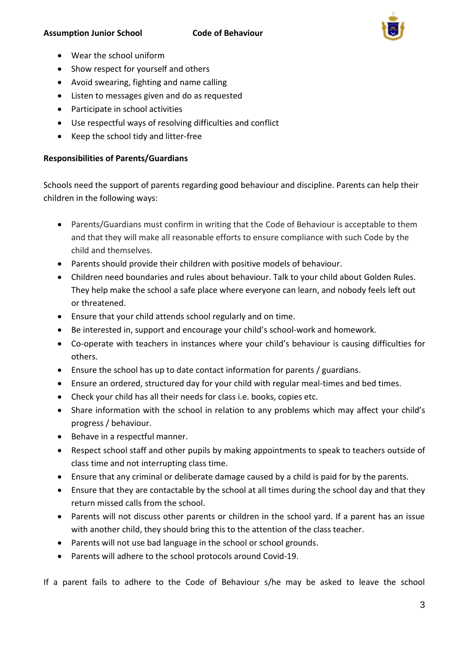

- Wear the school uniform
- Show respect for yourself and others
- Avoid swearing, fighting and name calling
- Listen to messages given and do as requested
- Participate in school activities
- Use respectful ways of resolving difficulties and conflict
- Keep the school tidy and litter-free

# **Responsibilities of Parents/Guardians**

Schools need the support of parents regarding good behaviour and discipline. Parents can help their children in the following ways:

- Parents/Guardians must confirm in writing that the Code of Behaviour is acceptable to them and that they will make all reasonable efforts to ensure compliance with such Code by the child and themselves.
- Parents should provide their children with positive models of behaviour.
- Children need boundaries and rules about behaviour. Talk to your child about Golden Rules. They help make the school a safe place where everyone can learn, and nobody feels left out or threatened.
- Ensure that your child attends school regularly and on time.
- Be interested in, support and encourage your child's school-work and homework.
- Co-operate with teachers in instances where your child's behaviour is causing difficulties for others.
- Ensure the school has up to date contact information for parents / guardians.
- Ensure an ordered, structured day for your child with regular meal-times and bed times.
- Check your child has all their needs for class i.e. books, copies etc.
- Share information with the school in relation to any problems which may affect your child's progress / behaviour.
- Behave in a respectful manner.
- Respect school staff and other pupils by making appointments to speak to teachers outside of class time and not interrupting class time.
- Ensure that any criminal or deliberate damage caused by a child is paid for by the parents.
- Ensure that they are contactable by the school at all times during the school day and that they return missed calls from the school.
- Parents will not discuss other parents or children in the school yard. If a parent has an issue with another child, they should bring this to the attention of the class teacher.
- Parents will not use bad language in the school or school grounds.
- Parents will adhere to the school protocols around Covid-19.

If a parent fails to adhere to the Code of Behaviour s/he may be asked to leave the school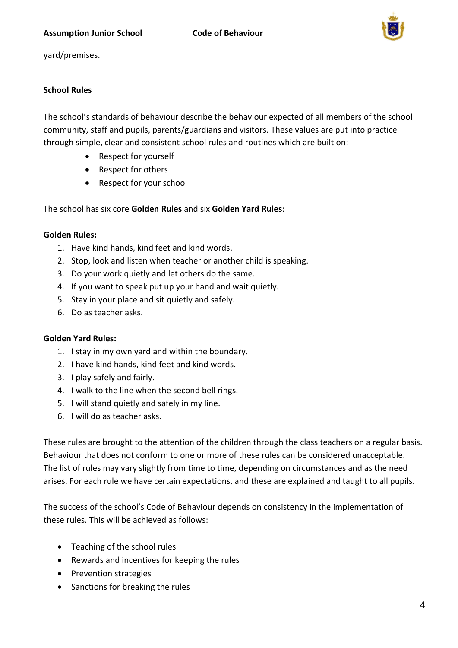

yard/premises.

# **School Rules**

The school's standards of behaviour describe the behaviour expected of all members of the school community, staff and pupils, parents/guardians and visitors. These values are put into practice through simple, clear and consistent school rules and routines which are built on:

- Respect for yourself
- Respect for others
- Respect for your school

The school has six core **Golden Rules** and six **Golden Yard Rules**:

#### **Golden Rules:**

- 1. Have kind hands, kind feet and kind words.
- 2. Stop, look and listen when teacher or another child is speaking.
- 3. Do your work quietly and let others do the same.
- 4. If you want to speak put up your hand and wait quietly.
- 5. Stay in your place and sit quietly and safely.
- 6. Do as teacher asks.

#### **Golden Yard Rules:**

- 1. I stay in my own yard and within the boundary.
- 2. I have kind hands, kind feet and kind words.
- 3. I play safely and fairly.
- 4. I walk to the line when the second bell rings.
- 5. I will stand quietly and safely in my line.
- 6. I will do as teacher asks.

These rules are brought to the attention of the children through the class teachers on a regular basis. Behaviour that does not conform to one or more of these rules can be considered unacceptable. The list of rules may vary slightly from time to time, depending on circumstances and as the need arises. For each rule we have certain expectations, and these are explained and taught to all pupils.

The success of the school's Code of Behaviour depends on consistency in the implementation of these rules. This will be achieved as follows:

- Teaching of the school rules
- Rewards and incentives for keeping the rules
- Prevention strategies
- Sanctions for breaking the rules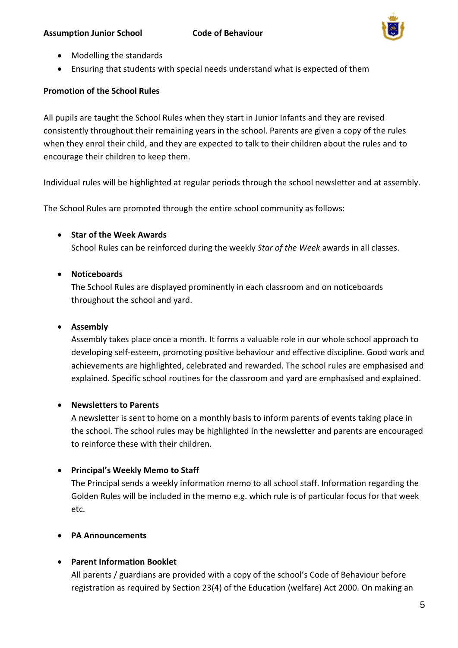

- Modelling the standards
- Ensuring that students with special needs understand what is expected of them

# **Promotion of the School Rules**

All pupils are taught the School Rules when they start in Junior Infants and they are revised consistently throughout their remaining years in the school. Parents are given a copy of the rules when they enrol their child, and they are expected to talk to their children about the rules and to encourage their children to keep them.

Individual rules will be highlighted at regular periods through the school newsletter and at assembly.

The School Rules are promoted through the entire school community as follows:

# • **Star of the Week Awards**

School Rules can be reinforced during the weekly *Star of the Week* awards in all classes.

# • **Noticeboards**

The School Rules are displayed prominently in each classroom and on noticeboards throughout the school and yard.

# • **Assembly**

Assembly takes place once a month. It forms a valuable role in our whole school approach to developing self-esteem, promoting positive behaviour and effective discipline. Good work and achievements are highlighted, celebrated and rewarded. The school rules are emphasised and explained. Specific school routines for the classroom and yard are emphasised and explained.

# • **Newsletters to Parents**

A newsletter is sent to home on a monthly basis to inform parents of events taking place in the school. The school rules may be highlighted in the newsletter and parents are encouraged to reinforce these with their children.

# • **Principal's Weekly Memo to Staff**

The Principal sends a weekly information memo to all school staff. Information regarding the Golden Rules will be included in the memo e.g. which rule is of particular focus for that week etc.

# • **PA Announcements**

# • **Parent Information Booklet**

All parents / guardians are provided with a copy of the school's Code of Behaviour before registration as required by Section 23(4) of the Education (welfare) Act 2000. On making an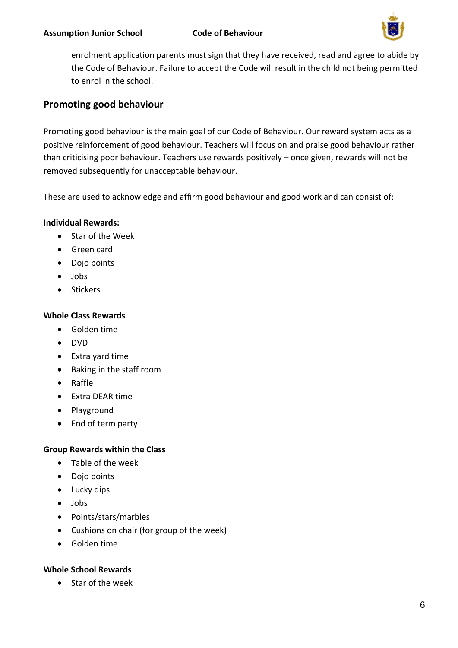

enrolment application parents must sign that they have received, read and agree to abide by the Code of Behaviour. Failure to accept the Code will result in the child not being permitted to enrol in the school.

# **Promoting good behaviour**

Promoting good behaviour is the main goal of our Code of Behaviour. Our reward system acts as a positive reinforcement of good behaviour. Teachers will focus on and praise good behaviour rather than criticising poor behaviour. Teachers use rewards positively – once given, rewards will not be removed subsequently for unacceptable behaviour.

These are used to acknowledge and affirm good behaviour and good work and can consist of:

# **Individual Rewards:**

- Star of the Week
- Green card
- Dojo points
- Jobs
- Stickers

# **Whole Class Rewards**

- Golden time
- DVD
- Extra yard time
- Baking in the staff room
- Raffle
- Extra DEAR time
- Playground
- End of term party

# **Group Rewards within the Class**

- Table of the week
- Dojo points
- Lucky dips
- Jobs
- Points/stars/marbles
- Cushions on chair (for group of the week)
- Golden time

# **Whole School Rewards**

• Star of the week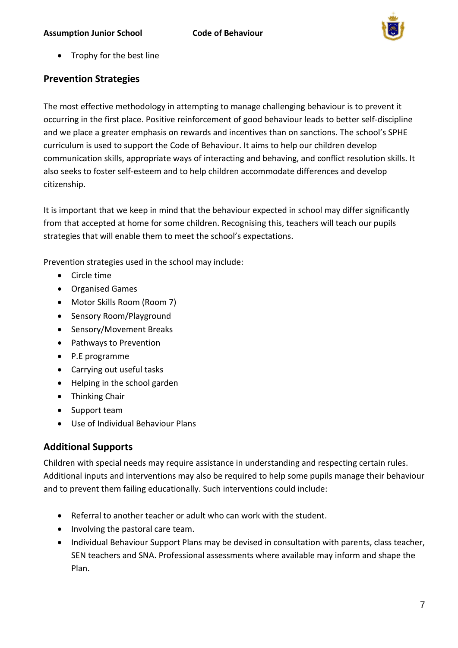

• Trophy for the best line

# **Prevention Strategies**

The most effective methodology in attempting to manage challenging behaviour is to prevent it occurring in the first place. Positive reinforcement of good behaviour leads to better self-discipline and we place a greater emphasis on rewards and incentives than on sanctions. The school's SPHE curriculum is used to support the Code of Behaviour. It aims to help our children develop communication skills, appropriate ways of interacting and behaving, and conflict resolution skills. It also seeks to foster self-esteem and to help children accommodate differences and develop citizenship.

It is important that we keep in mind that the behaviour expected in school may differ significantly from that accepted at home for some children. Recognising this, teachers will teach our pupils strategies that will enable them to meet the school's expectations.

Prevention strategies used in the school may include:

- Circle time
- Organised Games
- Motor Skills Room (Room 7)
- Sensory Room/Playground
- Sensory/Movement Breaks
- Pathways to Prevention
- P.E programme
- Carrying out useful tasks
- Helping in the school garden
- Thinking Chair
- Support team
- Use of Individual Behaviour Plans

# **Additional Supports**

Children with special needs may require assistance in understanding and respecting certain rules. Additional inputs and interventions may also be required to help some pupils manage their behaviour and to prevent them failing educationally. Such interventions could include:

- Referral to another teacher or adult who can work with the student.
- Involving the pastoral care team.
- Individual Behaviour Support Plans may be devised in consultation with parents, class teacher, SEN teachers and SNA. Professional assessments where available may inform and shape the Plan.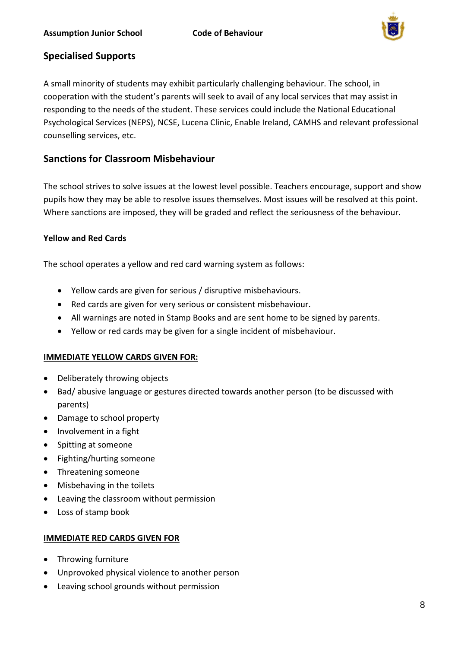

# **Specialised Supports**

A small minority of students may exhibit particularly challenging behaviour. The school, in cooperation with the student's parents will seek to avail of any local services that may assist in responding to the needs of the student. These services could include the National Educational Psychological Services (NEPS), NCSE, Lucena Clinic, Enable Ireland, CAMHS and relevant professional counselling services, etc.

# **Sanctions for Classroom Misbehaviour**

The school strives to solve issues at the lowest level possible. Teachers encourage, support and show pupils how they may be able to resolve issues themselves. Most issues will be resolved at this point. Where sanctions are imposed, they will be graded and reflect the seriousness of the behaviour.

# **Yellow and Red Cards**

The school operates a yellow and red card warning system as follows:

- Yellow cards are given for serious / disruptive misbehaviours.
- Red cards are given for very serious or consistent misbehaviour.
- All warnings are noted in Stamp Books and are sent home to be signed by parents.
- Yellow or red cards may be given for a single incident of misbehaviour.

# **IMMEDIATE YELLOW CARDS GIVEN FOR:**

- Deliberately throwing objects
- Bad/ abusive language or gestures directed towards another person (to be discussed with parents)
- Damage to school property
- Involvement in a fight
- Spitting at someone
- Fighting/hurting someone
- Threatening someone
- Misbehaving in the toilets
- Leaving the classroom without permission
- Loss of stamp book

#### **IMMEDIATE RED CARDS GIVEN FOR**

- Throwing furniture
- Unprovoked physical violence to another person
- Leaving school grounds without permission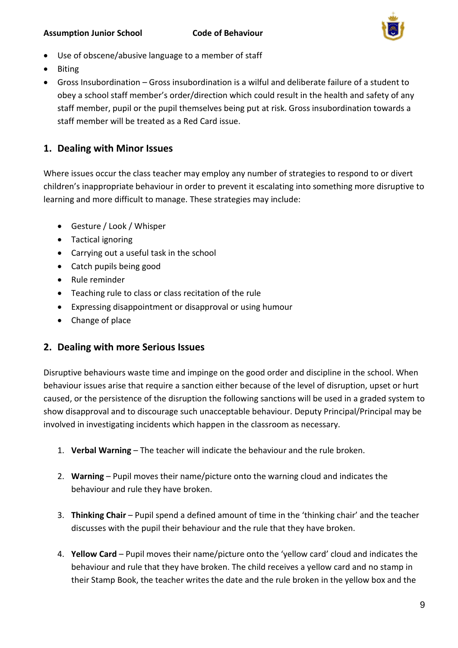

- Use of obscene/abusive language to a member of staff
- Biting
- Gross Insubordination Gross insubordination is a wilful and deliberate failure of a student to obey a school staff member's order/direction which could result in the health and safety of any staff member, pupil or the pupil themselves being put at risk. Gross insubordination towards a staff member will be treated as a Red Card issue.

# **1. Dealing with Minor Issues**

Where issues occur the class teacher may employ any number of strategies to respond to or divert children's inappropriate behaviour in order to prevent it escalating into something more disruptive to learning and more difficult to manage. These strategies may include:

- Gesture / Look / Whisper
- Tactical ignoring
- Carrying out a useful task in the school
- Catch pupils being good
- Rule reminder
- Teaching rule to class or class recitation of the rule
- Expressing disappointment or disapproval or using humour
- Change of place

# **2. Dealing with more Serious Issues**

Disruptive behaviours waste time and impinge on the good order and discipline in the school. When behaviour issues arise that require a sanction either because of the level of disruption, upset or hurt caused, or the persistence of the disruption the following sanctions will be used in a graded system to show disapproval and to discourage such unacceptable behaviour. Deputy Principal/Principal may be involved in investigating incidents which happen in the classroom as necessary.

- 1. **Verbal Warning** The teacher will indicate the behaviour and the rule broken.
- 2. **Warning** Pupil moves their name/picture onto the warning cloud and indicates the behaviour and rule they have broken.
- 3. **Thinking Chair** Pupil spend a defined amount of time in the 'thinking chair' and the teacher discusses with the pupil their behaviour and the rule that they have broken.
- 4. **Yellow Card** Pupil moves their name/picture onto the 'yellow card' cloud and indicates the behaviour and rule that they have broken. The child receives a yellow card and no stamp in their Stamp Book, the teacher writes the date and the rule broken in the yellow box and the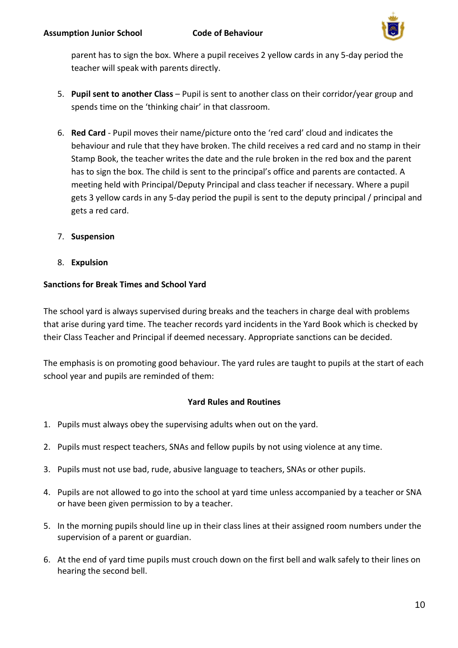

parent has to sign the box. Where a pupil receives 2 yellow cards in any 5-day period the teacher will speak with parents directly.

- 5. **Pupil sent to another Class** Pupil is sent to another class on their corridor/year group and spends time on the 'thinking chair' in that classroom.
- 6. **Red Card** Pupil moves their name/picture onto the 'red card' cloud and indicates the behaviour and rule that they have broken. The child receives a red card and no stamp in their Stamp Book, the teacher writes the date and the rule broken in the red box and the parent has to sign the box. The child is sent to the principal's office and parents are contacted. A meeting held with Principal/Deputy Principal and class teacher if necessary. Where a pupil gets 3 yellow cards in any 5-day period the pupil is sent to the deputy principal / principal and gets a red card.
- 7. **Suspension**
- 8. **Expulsion**

# **Sanctions for Break Times and School Yard**

The school yard is always supervised during breaks and the teachers in charge deal with problems that arise during yard time. The teacher records yard incidents in the Yard Book which is checked by their Class Teacher and Principal if deemed necessary. Appropriate sanctions can be decided.

The emphasis is on promoting good behaviour. The yard rules are taught to pupils at the start of each school year and pupils are reminded of them:

# **Yard Rules and Routines**

- 1. Pupils must always obey the supervising adults when out on the yard.
- 2. Pupils must respect teachers, SNAs and fellow pupils by not using violence at any time.
- 3. Pupils must not use bad, rude, abusive language to teachers, SNAs or other pupils.
- 4. Pupils are not allowed to go into the school at yard time unless accompanied by a teacher or SNA or have been given permission to by a teacher.
- 5. In the morning pupils should line up in their class lines at their assigned room numbers under the supervision of a parent or guardian.
- 6. At the end of yard time pupils must crouch down on the first bell and walk safely to their lines on hearing the second bell.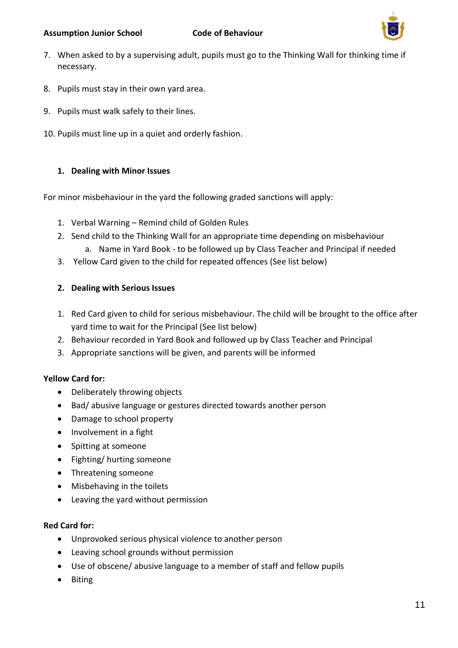

- 7. When asked to by a supervising adult, pupils must go to the Thinking Wall for thinking time if necessary.
- 8. Pupils must stay in their own yard area.
- 9. Pupils must walk safely to their lines.
- 10. Pupils must line up in a quiet and orderly fashion.

# **1. Dealing with Minor Issues**

For minor misbehaviour in the yard the following graded sanctions will apply:

- 1. Verbal Warning Remind child of Golden Rules
- 2. Send child to the Thinking Wall for an appropriate time depending on misbehaviour
	- a. Name in Yard Book to be followed up by Class Teacher and Principal if needed
- 3. Yellow Card given to the child for repeated offences (See list below)

# **2. Dealing with Serious Issues**

- 1. Red Card given to child for serious misbehaviour. The child will be brought to the office after yard time to wait for the Principal (See list below)
- 2. Behaviour recorded in Yard Book and followed up by Class Teacher and Principal
- 3. Appropriate sanctions will be given, and parents will be informed

# **Yellow Card for:**

- Deliberately throwing objects
- Bad/ abusive language or gestures directed towards another person
- Damage to school property
- Involvement in a fight
- Spitting at someone
- Fighting/ hurting someone
- Threatening someone
- Misbehaving in the toilets
- Leaving the yard without permission

# **Red Card for:**

- Unprovoked serious physical violence to another person
- Leaving school grounds without permission
- Use of obscene/ abusive language to a member of staff and fellow pupils
- Biting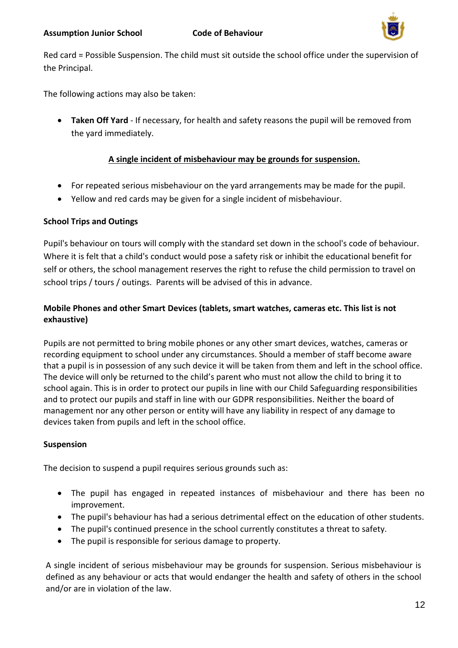

Red card = Possible Suspension. The child must sit outside the school office under the supervision of the Principal.

The following actions may also be taken:

• **Taken Off Yard** - If necessary, for health and safety reasons the pupil will be removed from the yard immediately.

# **A single incident of misbehaviour may be grounds for suspension.**

- For repeated serious misbehaviour on the yard arrangements may be made for the pupil.
- Yellow and red cards may be given for a single incident of misbehaviour.

# **School Trips and Outings**

Pupil's behaviour on tours will comply with the standard set down in the school's code of behaviour. Where it is felt that a child's conduct would pose a safety risk or inhibit the educational benefit for self or others, the school management reserves the right to refuse the child permission to travel on school trips / tours / outings. Parents will be advised of this in advance.

# **Mobile Phones and other Smart Devices (tablets, smart watches, cameras etc. This list is not exhaustive)**

Pupils are not permitted to bring mobile phones or any other smart devices, watches, cameras or recording equipment to school under any circumstances. Should a member of staff become aware that a pupil is in possession of any such device it will be taken from them and left in the school office. The device will only be returned to the child's parent who must not allow the child to bring it to school again. This is in order to protect our pupils in line with our Child Safeguarding responsibilities and to protect our pupils and staff in line with our GDPR responsibilities. Neither the board of management nor any other person or entity will have any liability in respect of any damage to devices taken from pupils and left in the school office.

# **Suspension**

The decision to suspend a pupil requires serious grounds such as:

- The pupil has engaged in repeated instances of misbehaviour and there has been no improvement.
- The pupil's behaviour has had a serious detrimental effect on the education of other students.
- The pupil's continued presence in the school currently constitutes a threat to safety.
- The pupil is responsible for serious damage to property.

A single incident of serious misbehaviour may be grounds for suspension. Serious misbehaviour is defined as any behaviour or acts that would endanger the health and safety of others in the school and/or are in violation of the law.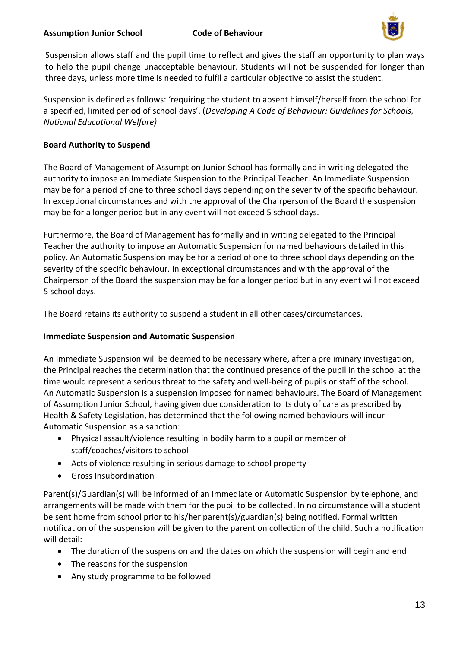

Suspension allows staff and the pupil time to reflect and gives the staff an opportunity to plan ways to help the pupil change unacceptable behaviour. Students will not be suspended for longer than three days, unless more time is needed to fulfil a particular objective to assist the student.

Suspension is defined as follows: 'requiring the student to absent himself/herself from the school for a specified, limited period of school days'. (*Developing A Code of Behaviour: Guidelines for Schools, National Educational Welfare)*

# **Board Authority to Suspend**

The Board of Management of Assumption Junior School has formally and in writing delegated the authority to impose an Immediate Suspension to the Principal Teacher. An Immediate Suspension may be for a period of one to three school days depending on the severity of the specific behaviour. In exceptional circumstances and with the approval of the Chairperson of the Board the suspension may be for a longer period but in any event will not exceed 5 school days.

Furthermore, the Board of Management has formally and in writing delegated to the Principal Teacher the authority to impose an Automatic Suspension for named behaviours detailed in this policy. An Automatic Suspension may be for a period of one to three school days depending on the severity of the specific behaviour. In exceptional circumstances and with the approval of the Chairperson of the Board the suspension may be for a longer period but in any event will not exceed 5 school days.

The Board retains its authority to suspend a student in all other cases/circumstances.

# **Immediate Suspension and Automatic Suspension**

An Immediate Suspension will be deemed to be necessary where, after a preliminary investigation, the Principal reaches the determination that the continued presence of the pupil in the school at the time would represent a serious threat to the safety and well-being of pupils or staff of the school. An Automatic Suspension is a suspension imposed for named behaviours. The Board of Management of Assumption Junior School, having given due consideration to its duty of care as prescribed by Health & Safety Legislation, has determined that the following named behaviours will incur Automatic Suspension as a sanction:

- Physical assault/violence resulting in bodily harm to a pupil or member of staff/coaches/visitors to school
- Acts of violence resulting in serious damage to school property
- Gross Insubordination

Parent(s)/Guardian(s) will be informed of an Immediate or Automatic Suspension by telephone, and arrangements will be made with them for the pupil to be collected. In no circumstance will a student be sent home from school prior to his/her parent(s)/guardian(s) being notified. Formal written notification of the suspension will be given to the parent on collection of the child. Such a notification will detail:

- The duration of the suspension and the dates on which the suspension will begin and end
- The reasons for the suspension
- Any study programme to be followed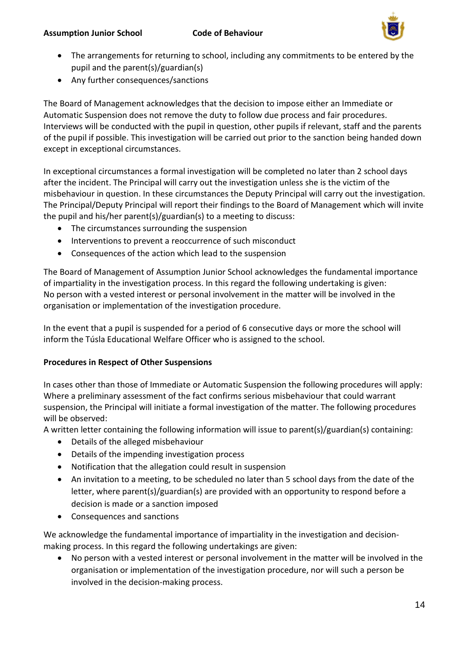

- The arrangements for returning to school, including any commitments to be entered by the pupil and the parent(s)/guardian(s)
- Any further consequences/sanctions

The Board of Management acknowledges that the decision to impose either an Immediate or Automatic Suspension does not remove the duty to follow due process and fair procedures. Interviews will be conducted with the pupil in question, other pupils if relevant, staff and the parents of the pupil if possible. This investigation will be carried out prior to the sanction being handed down except in exceptional circumstances.

In exceptional circumstances a formal investigation will be completed no later than 2 school days after the incident. The Principal will carry out the investigation unless she is the victim of the misbehaviour in question. In these circumstances the Deputy Principal will carry out the investigation. The Principal/Deputy Principal will report their findings to the Board of Management which will invite the pupil and his/her parent(s)/guardian(s) to a meeting to discuss:

- The circumstances surrounding the suspension
- Interventions to prevent a reoccurrence of such misconduct
- Consequences of the action which lead to the suspension

The Board of Management of Assumption Junior School acknowledges the fundamental importance of impartiality in the investigation process. In this regard the following undertaking is given: No person with a vested interest or personal involvement in the matter will be involved in the organisation or implementation of the investigation procedure.

In the event that a pupil is suspended for a period of 6 consecutive days or more the school will inform the Túsla Educational Welfare Officer who is assigned to the school.

# **Procedures in Respect of Other Suspensions**

In cases other than those of Immediate or Automatic Suspension the following procedures will apply: Where a preliminary assessment of the fact confirms serious misbehaviour that could warrant suspension, the Principal will initiate a formal investigation of the matter. The following procedures will be observed:

A written letter containing the following information will issue to parent(s)/guardian(s) containing:

- Details of the alleged misbehaviour
- Details of the impending investigation process
- Notification that the allegation could result in suspension
- An invitation to a meeting, to be scheduled no later than 5 school days from the date of the letter, where parent(s)/guardian(s) are provided with an opportunity to respond before a decision is made or a sanction imposed
- Consequences and sanctions

We acknowledge the fundamental importance of impartiality in the investigation and decisionmaking process. In this regard the following undertakings are given:

• No person with a vested interest or personal involvement in the matter will be involved in the organisation or implementation of the investigation procedure, nor will such a person be involved in the decision-making process.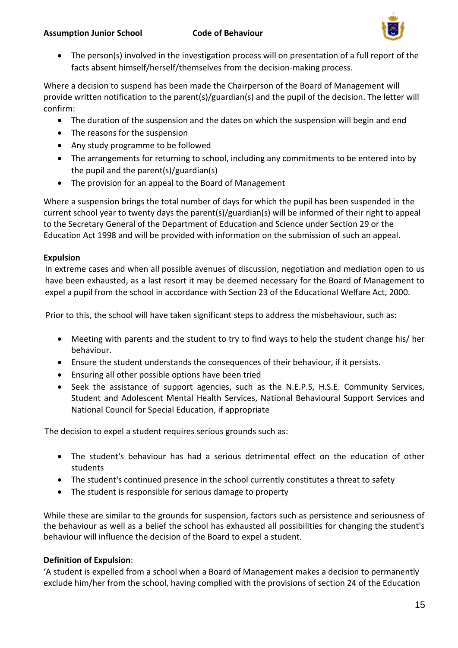

• The person(s) involved in the investigation process will on presentation of a full report of the facts absent himself/herself/themselves from the decision-making process.

Where a decision to suspend has been made the Chairperson of the Board of Management will provide written notification to the parent(s)/guardian(s) and the pupil of the decision. The letter will confirm:

- The duration of the suspension and the dates on which the suspension will begin and end
- The reasons for the suspension
- Any study programme to be followed
- The arrangements for returning to school, including any commitments to be entered into by the pupil and the parent(s)/guardian(s)
- The provision for an appeal to the Board of Management

Where a suspension brings the total number of days for which the pupil has been suspended in the current school year to twenty days the parent(s)/guardian(s) will be informed of their right to appeal to the Secretary General of the Department of Education and Science under Section 29 or the Education Act 1998 and will be provided with information on the submission of such an appeal.

### **Expulsion**

In extreme cases and when all possible avenues of discussion, negotiation and mediation open to us have been exhausted, as a last resort it may be deemed necessary for the Board of Management to expel a pupil from the school in accordance with Section 23 of the Educational Welfare Act, 2000.

Prior to this, the school will have taken significant steps to address the misbehaviour, such as:

- Meeting with parents and the student to try to find ways to help the student change his/ her behaviour.
- Ensure the student understands the consequences of their behaviour, if it persists.
- Ensuring all other possible options have been tried
- Seek the assistance of support agencies, such as the N.E.P.S, H.S.E. Community Services, Student and Adolescent Mental Health Services, National Behavioural Support Services and National Council for Special Education, if appropriate

The decision to expel a student requires serious grounds such as:

- The student's behaviour has had a serious detrimental effect on the education of other students
- The student's continued presence in the school currently constitutes a threat to safety
- The student is responsible for serious damage to property

While these are similar to the grounds for suspension, factors such as persistence and seriousness of the behaviour as well as a belief the school has exhausted all possibilities for changing the student's behaviour will influence the decision of the Board to expel a student.

# **Definition of Expulsion**:

'A student is expelled from a school when a Board of Management makes a decision to permanently exclude him/her from the school, having complied with the provisions of section 24 of the Education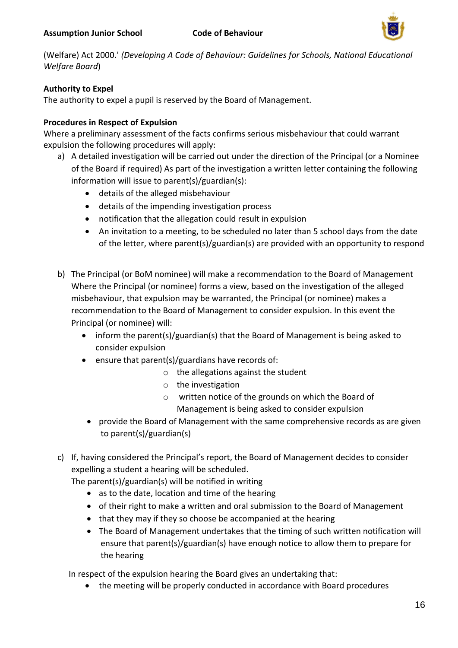

(Welfare) Act 2000.' *(Developing A Code of Behaviour: Guidelines for Schools, National Educational Welfare Board*)

# **Authority to Expel**

The authority to expel a pupil is reserved by the Board of Management.

# **Procedures in Respect of Expulsion**

Where a preliminary assessment of the facts confirms serious misbehaviour that could warrant expulsion the following procedures will apply:

- a) A detailed investigation will be carried out under the direction of the Principal (or a Nominee of the Board if required) As part of the investigation a written letter containing the following information will issue to parent(s)/guardian(s):
	- details of the alleged misbehaviour
	- details of the impending investigation process
	- notification that the allegation could result in expulsion
	- An invitation to a meeting, to be scheduled no later than 5 school days from the date of the letter, where parent(s)/guardian(s) are provided with an opportunity to respond
- b) The Principal (or BoM nominee) will make a recommendation to the Board of Management Where the Principal (or nominee) forms a view, based on the investigation of the alleged misbehaviour, that expulsion may be warranted, the Principal (or nominee) makes a recommendation to the Board of Management to consider expulsion. In this event the Principal (or nominee) will:
	- inform the parent(s)/guardian(s) that the Board of Management is being asked to consider expulsion
	- ensure that parent(s)/guardians have records of:
		- $\circ$  the allegations against the student
		- o the investigation
		- o written notice of the grounds on which the Board of Management is being asked to consider expulsion
		- provide the Board of Management with the same comprehensive records as are given to parent(s)/guardian(s)
- c) If, having considered the Principal's report, the Board of Management decides to consider expelling a student a hearing will be scheduled.

The parent(s)/guardian(s) will be notified in writing

- as to the date, location and time of the hearing
- of their right to make a written and oral submission to the Board of Management
- that they may if they so choose be accompanied at the hearing
- The Board of Management undertakes that the timing of such written notification will ensure that parent(s)/guardian(s) have enough notice to allow them to prepare for the hearing

In respect of the expulsion hearing the Board gives an undertaking that:

• the meeting will be properly conducted in accordance with Board procedures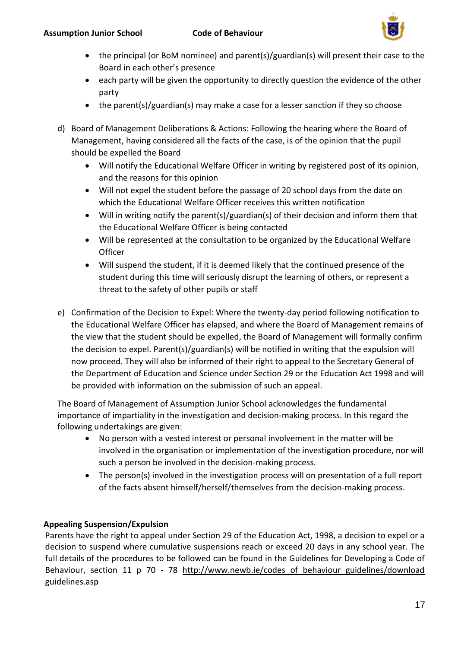

- the principal (or BoM nominee) and parent(s)/guardian(s) will present their case to the Board in each other's presence
- each party will be given the opportunity to directly question the evidence of the other party
- the parent(s)/guardian(s) may make a case for a lesser sanction if they so choose
- d) Board of Management Deliberations & Actions: Following the hearing where the Board of Management, having considered all the facts of the case, is of the opinion that the pupil should be expelled the Board
	- Will notify the Educational Welfare Officer in writing by registered post of its opinion, and the reasons for this opinion
	- Will not expel the student before the passage of 20 school days from the date on which the Educational Welfare Officer receives this written notification
	- Will in writing notify the parent(s)/guardian(s) of their decision and inform them that the Educational Welfare Officer is being contacted
	- Will be represented at the consultation to be organized by the Educational Welfare **Officer**
	- Will suspend the student, if it is deemed likely that the continued presence of the student during this time will seriously disrupt the learning of others, or represent a threat to the safety of other pupils or staff
- e) Confirmation of the Decision to Expel: Where the twenty-day period following notification to the Educational Welfare Officer has elapsed, and where the Board of Management remains of the view that the student should be expelled, the Board of Management will formally confirm the decision to expel. Parent(s)/guardian(s) will be notified in writing that the expulsion will now proceed. They will also be informed of their right to appeal to the Secretary General of the Department of Education and Science under Section 29 or the Education Act 1998 and will be provided with information on the submission of such an appeal.

The Board of Management of Assumption Junior School acknowledges the fundamental importance of impartiality in the investigation and decision-making process. In this regard the following undertakings are given:

- No person with a vested interest or personal involvement in the matter will be involved in the organisation or implementation of the investigation procedure, nor will such a person be involved in the decision-making process.
- The person(s) involved in the investigation process will on presentation of a full report of the facts absent himself/herself/themselves from the decision-making process.

# **Appealing Suspension/Expulsion**

Parents have the right to appeal under Section 29 of the Education Act, 1998, a decision to expel or a decision to suspend where cumulative suspensions reach or exceed 20 days in any school year. The full details of the procedures to be followed can be found in the Guidelines for Developing a Code of Behaviour, section 11 p 70 - 78 http://www.newb.ie/codes of behaviour guidelines/download guidelines.asp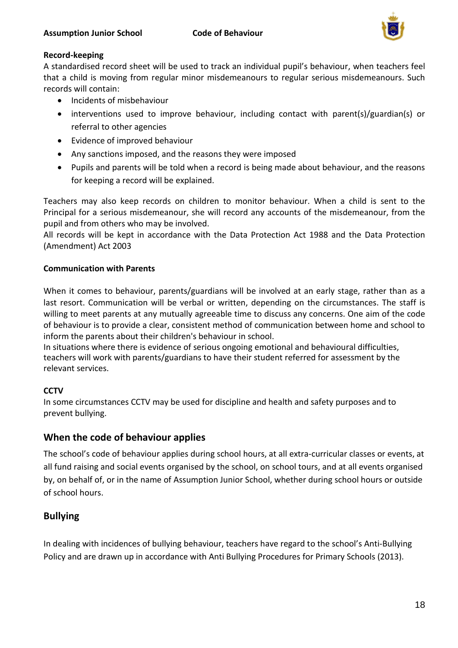

# **Record-keeping**

A standardised record sheet will be used to track an individual pupil's behaviour, when teachers feel that a child is moving from regular minor misdemeanours to regular serious misdemeanours. Such records will contain:

- Incidents of misbehaviour
- interventions used to improve behaviour, including contact with parent(s)/guardian(s) or referral to other agencies
- Evidence of improved behaviour
- Any sanctions imposed, and the reasons they were imposed
- Pupils and parents will be told when a record is being made about behaviour, and the reasons for keeping a record will be explained.

Teachers may also keep records on children to monitor behaviour. When a child is sent to the Principal for a serious misdemeanour, she will record any accounts of the misdemeanour, from the pupil and from others who may be involved.

All records will be kept in accordance with the Data Protection Act 1988 and the Data Protection (Amendment) Act 2003

# **Communication with Parents**

When it comes to behaviour, parents/guardians will be involved at an early stage, rather than as a last resort. Communication will be verbal or written, depending on the circumstances. The staff is willing to meet parents at any mutually agreeable time to discuss any concerns. One aim of the code of behaviour is to provide a clear, consistent method of communication between home and school to inform the parents about their children's behaviour in school.

In situations where there is evidence of serious ongoing emotional and behavioural difficulties, teachers will work with parents/guardians to have their student referred for assessment by the relevant services.

# **CCTV**

In some circumstances CCTV may be used for discipline and health and safety purposes and to prevent bullying.

# **When the code of behaviour applies**

The school's code of behaviour applies during school hours, at all extra-curricular classes or events, at all fund raising and social events organised by the school, on school tours, and at all events organised by, on behalf of, or in the name of Assumption Junior School, whether during school hours or outside of school hours.

# **Bullying**

In dealing with incidences of bullying behaviour, teachers have regard to the school's Anti-Bullying Policy and are drawn up in accordance with Anti Bullying Procedures for Primary Schools (2013).